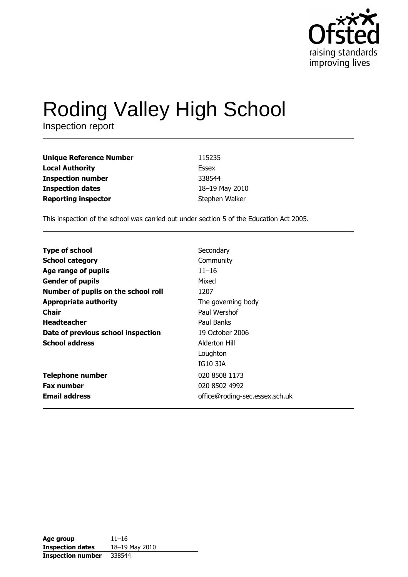

# Roding Valley High School

Inspection report

| <b>Unique Reference Number</b> | 115235         |
|--------------------------------|----------------|
| <b>Local Authority</b>         | Essex          |
| <b>Inspection number</b>       | 338544         |
| <b>Inspection dates</b>        | 18-19 May 2010 |
| <b>Reporting inspector</b>     | Stephen Walker |

This inspection of the school was carried out under section 5 of the Education Act 2005.

| Secondary                      |
|--------------------------------|
| Community                      |
| $11 - 16$                      |
| Mixed                          |
| 1207                           |
| The governing body             |
| Paul Wershof                   |
| Paul Banks                     |
| 19 October 2006                |
| Alderton Hill                  |
| Loughton                       |
| IG10 3JA                       |
| 020 8508 1173                  |
| 020 8502 4992                  |
| office@roding-sec.essex.sch.uk |
|                                |

| Age group                | $11 - 16$      |
|--------------------------|----------------|
| <b>Inspection dates</b>  | 18-19 May 2010 |
| <b>Inspection number</b> | 338544         |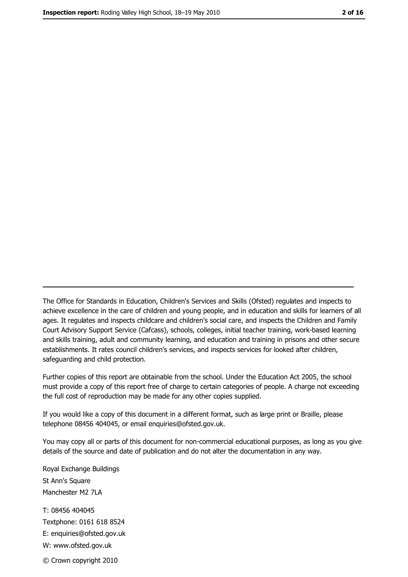The Office for Standards in Education, Children's Services and Skills (Ofsted) regulates and inspects to achieve excellence in the care of children and young people, and in education and skills for learners of all ages. It regulates and inspects childcare and children's social care, and inspects the Children and Family Court Advisory Support Service (Cafcass), schools, colleges, initial teacher training, work-based learning and skills training, adult and community learning, and education and training in prisons and other secure establishments. It rates council children's services, and inspects services for looked after children, safequarding and child protection.

Further copies of this report are obtainable from the school. Under the Education Act 2005, the school must provide a copy of this report free of charge to certain categories of people. A charge not exceeding the full cost of reproduction may be made for any other copies supplied.

If you would like a copy of this document in a different format, such as large print or Braille, please telephone 08456 404045, or email enquiries@ofsted.gov.uk.

You may copy all or parts of this document for non-commercial educational purposes, as long as you give details of the source and date of publication and do not alter the documentation in any way.

Royal Exchange Buildings St Ann's Square Manchester M2 7LA T: 08456 404045 Textphone: 0161 618 8524 E: enquiries@ofsted.gov.uk W: www.ofsted.gov.uk © Crown copyright 2010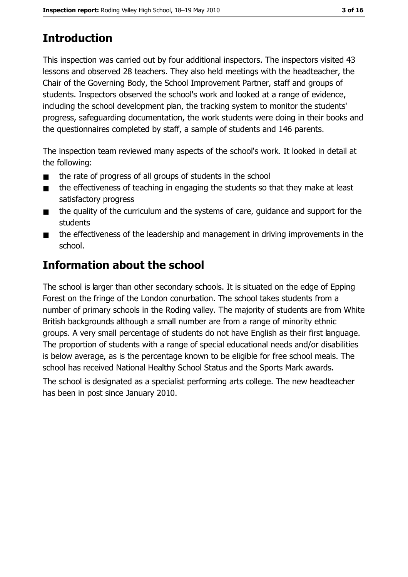# **Introduction**

This inspection was carried out by four additional inspectors. The inspectors visited 43 lessons and observed 28 teachers. They also held meetings with the headteacher, the Chair of the Governing Body, the School Improvement Partner, staff and groups of students. Inspectors observed the school's work and looked at a range of evidence, including the school development plan, the tracking system to monitor the students' progress, safeguarding documentation, the work students were doing in their books and the questionnaires completed by staff, a sample of students and 146 parents.

The inspection team reviewed many aspects of the school's work. It looked in detail at the following:

- the rate of progress of all groups of students in the school  $\blacksquare$
- the effectiveness of teaching in engaging the students so that they make at least  $\blacksquare$ satisfactory progress
- the quality of the curriculum and the systems of care, guidance and support for the  $\blacksquare$ students
- the effectiveness of the leadership and management in driving improvements in the  $\blacksquare$ school.

## **Information about the school**

The school is larger than other secondary schools. It is situated on the edge of Epping Forest on the fringe of the London conurbation. The school takes students from a number of primary schools in the Roding valley. The majority of students are from White British backgrounds although a small number are from a range of minority ethnic groups. A very small percentage of students do not have English as their first language. The proportion of students with a range of special educational needs and/or disabilities is below average, as is the percentage known to be eligible for free school meals. The school has received National Healthy School Status and the Sports Mark awards.

The school is designated as a specialist performing arts college. The new headteacher has been in post since January 2010.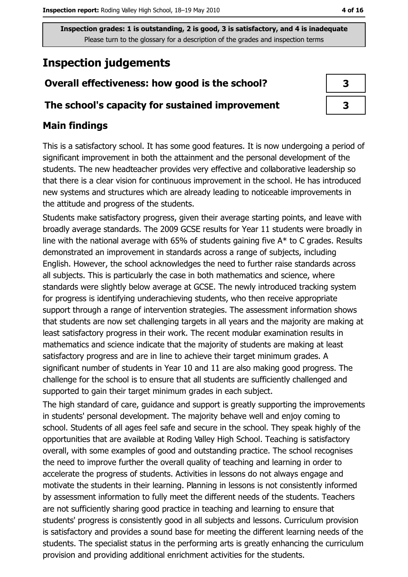## **Inspection judgements**

# Overall effectiveness: how good is the school?

### The school's capacity for sustained improvement

## **Main findings**

This is a satisfactory school. It has some good features. It is now undergoing a period of significant improvement in both the attainment and the personal development of the students. The new headteacher provides very effective and collaborative leadership so that there is a clear vision for continuous improvement in the school. He has introduced new systems and structures which are already leading to noticeable improvements in the attitude and progress of the students.

Students make satisfactory progress, given their average starting points, and leave with broadly average standards. The 2009 GCSE results for Year 11 students were broadly in line with the national average with 65% of students gaining five  $A^*$  to C grades. Results demonstrated an improvement in standards across a range of subjects, including English. However, the school acknowledges the need to further raise standards across all subjects. This is particularly the case in both mathematics and science, where standards were slightly below average at GCSE. The newly introduced tracking system for progress is identifying underachieving students, who then receive appropriate support through a range of intervention strategies. The assessment information shows that students are now set challenging targets in all years and the majority are making at least satisfactory progress in their work. The recent modular examination results in mathematics and science indicate that the majority of students are making at least satisfactory progress and are in line to achieve their target minimum grades. A significant number of students in Year 10 and 11 are also making good progress. The challenge for the school is to ensure that all students are sufficiently challenged and supported to gain their target minimum grades in each subject.

The high standard of care, guidance and support is greatly supporting the improvements in students' personal development. The majority behave well and enjoy coming to school. Students of all ages feel safe and secure in the school. They speak highly of the opportunities that are available at Roding Valley High School. Teaching is satisfactory overall, with some examples of good and outstanding practice. The school recognises the need to improve further the overall quality of teaching and learning in order to accelerate the progress of students. Activities in lessons do not always engage and motivate the students in their learning. Planning in lessons is not consistently informed by assessment information to fully meet the different needs of the students. Teachers are not sufficiently sharing good practice in teaching and learning to ensure that students' progress is consistently good in all subjects and lessons. Curriculum provision is satisfactory and provides a sound base for meeting the different learning needs of the students. The specialist status in the performing arts is greatly enhancing the curriculum provision and providing additional enrichment activities for the students.

| 3 |  |
|---|--|
| 3 |  |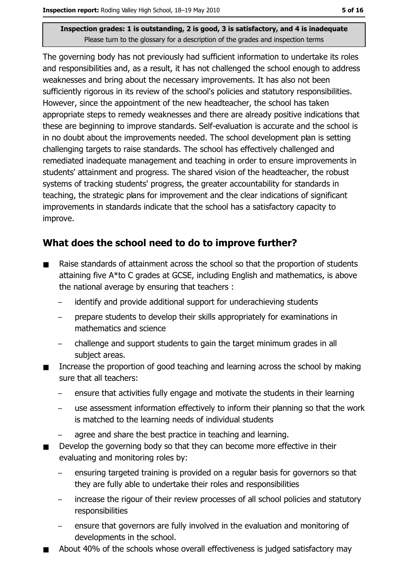The governing body has not previously had sufficient information to undertake its roles and responsibilities and, as a result, it has not challenged the school enough to address weaknesses and bring about the necessary improvements. It has also not been sufficiently rigorous in its review of the school's policies and statutory responsibilities. However, since the appointment of the new headteacher, the school has taken appropriate steps to remedy weaknesses and there are already positive indications that these are beginning to improve standards. Self-evaluation is accurate and the school is in no doubt about the improvements needed. The school development plan is setting challenging targets to raise standards. The school has effectively challenged and remediated inadequate management and teaching in order to ensure improvements in students' attainment and progress. The shared vision of the headteacher, the robust systems of tracking students' progress, the greater accountability for standards in teaching, the strategic plans for improvement and the clear indications of significant improvements in standards indicate that the school has a satisfactory capacity to improve.

## What does the school need to do to improve further?

- Raise standards of attainment across the school so that the proportion of students  $\blacksquare$ attaining five A\*to C grades at GCSE, including English and mathematics, is above the national average by ensuring that teachers :
	- identify and provide additional support for underachieving students
	- prepare students to develop their skills appropriately for examinations in mathematics and science
	- challenge and support students to gain the target minimum grades in all subject areas.
- Increase the proportion of good teaching and learning across the school by making  $\blacksquare$ sure that all teachers:
	- ensure that activities fully engage and motivate the students in their learning
	- use assessment information effectively to inform their planning so that the work is matched to the learning needs of individual students
	- agree and share the best practice in teaching and learning.
- Develop the governing body so that they can become more effective in their  $\blacksquare$ evaluating and monitoring roles by:
	- ensuring targeted training is provided on a regular basis for governors so that they are fully able to undertake their roles and responsibilities
	- increase the rigour of their review processes of all school policies and statutory responsibilities
	- ensure that governors are fully involved in the evaluation and monitoring of developments in the school.
- About 40% of the schools whose overall effectiveness is judged satisfactory may  $\blacksquare$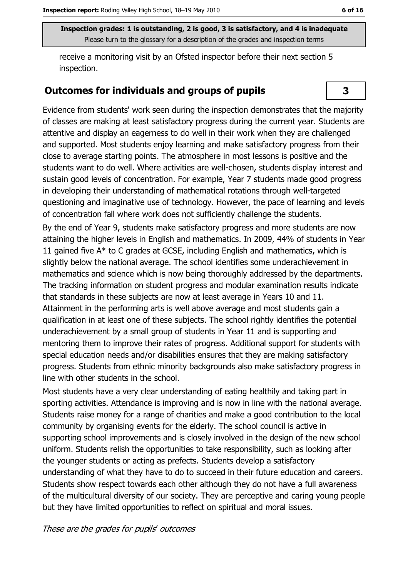receive a monitoring visit by an Ofsted inspector before their next section 5 inspection.

#### **Outcomes for individuals and groups of pupils**

Evidence from students' work seen during the inspection demonstrates that the majority of classes are making at least satisfactory progress during the current year. Students are attentive and display an eagerness to do well in their work when they are challenged and supported. Most students enjoy learning and make satisfactory progress from their close to average starting points. The atmosphere in most lessons is positive and the students want to do well. Where activities are well-chosen, students display interest and sustain good levels of concentration. For example, Year 7 students made good progress in developing their understanding of mathematical rotations through well-targeted questioning and imaginative use of technology. However, the pace of learning and levels of concentration fall where work does not sufficiently challenge the students.

By the end of Year 9, students make satisfactory progress and more students are now attaining the higher levels in English and mathematics. In 2009, 44% of students in Year 11 gained five A\* to C grades at GCSE, including English and mathematics, which is slightly below the national average. The school identifies some underachievement in mathematics and science which is now being thoroughly addressed by the departments. The tracking information on student progress and modular examination results indicate that standards in these subjects are now at least average in Years 10 and 11. Attainment in the performing arts is well above average and most students gain a qualification in at least one of these subjects. The school rightly identifies the potential underachievement by a small group of students in Year 11 and is supporting and mentoring them to improve their rates of progress. Additional support for students with special education needs and/or disabilities ensures that they are making satisfactory progress. Students from ethnic minority backgrounds also make satisfactory progress in line with other students in the school.

Most students have a very clear understanding of eating healthily and taking part in sporting activities. Attendance is improving and is now in line with the national average. Students raise money for a range of charities and make a good contribution to the local community by organising events for the elderly. The school council is active in supporting school improvements and is closely involved in the design of the new school uniform. Students relish the opportunities to take responsibility, such as looking after the younger students or acting as prefects. Students develop a satisfactory understanding of what they have to do to succeed in their future education and careers. Students show respect towards each other although they do not have a full awareness of the multicultural diversity of our society. They are perceptive and caring young people but they have limited opportunities to reflect on spiritual and moral issues.

## 3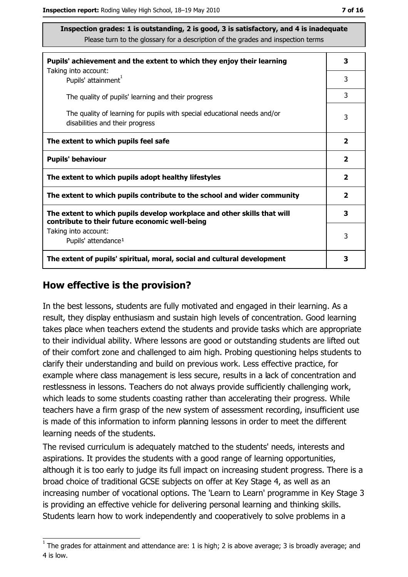| Pupils' achievement and the extent to which they enjoy their learning                                                     |                         |  |
|---------------------------------------------------------------------------------------------------------------------------|-------------------------|--|
| Taking into account:<br>Pupils' attainment <sup>1</sup>                                                                   | 3                       |  |
| The quality of pupils' learning and their progress                                                                        | 3                       |  |
| The quality of learning for pupils with special educational needs and/or<br>disabilities and their progress               | 3                       |  |
| The extent to which pupils feel safe                                                                                      | $\overline{\mathbf{2}}$ |  |
| <b>Pupils' behaviour</b>                                                                                                  | $\mathbf{2}$            |  |
| The extent to which pupils adopt healthy lifestyles                                                                       | 2                       |  |
| The extent to which pupils contribute to the school and wider community                                                   | $\mathbf{2}$            |  |
| The extent to which pupils develop workplace and other skills that will<br>contribute to their future economic well-being | 3                       |  |
| Taking into account:<br>Pupils' attendance <sup>1</sup>                                                                   | 3                       |  |
| The extent of pupils' spiritual, moral, social and cultural development                                                   | з                       |  |

#### How effective is the provision?

In the best lessons, students are fully motivated and engaged in their learning. As a result, they display enthusiasm and sustain high levels of concentration. Good learning takes place when teachers extend the students and provide tasks which are appropriate to their individual ability. Where lessons are good or outstanding students are lifted out of their comfort zone and challenged to aim high. Probing questioning helps students to clarify their understanding and build on previous work. Less effective practice, for example where class management is less secure, results in a lack of concentration and restlessness in lessons. Teachers do not always provide sufficiently challenging work, which leads to some students coasting rather than accelerating their progress. While teachers have a firm grasp of the new system of assessment recording, insufficient use is made of this information to inform planning lessons in order to meet the different learning needs of the students.

The revised curriculum is adequately matched to the students' needs, interests and aspirations. It provides the students with a good range of learning opportunities, although it is too early to judge its full impact on increasing student progress. There is a broad choice of traditional GCSE subjects on offer at Key Stage 4, as well as an increasing number of vocational options. The 'Learn to Learn' programme in Key Stage 3 is providing an effective vehicle for delivering personal learning and thinking skills. Students learn how to work independently and cooperatively to solve problems in a

 $1$  The grades for attainment and attendance are: 1 is high; 2 is above average; 3 is broadly average; and 4 is low.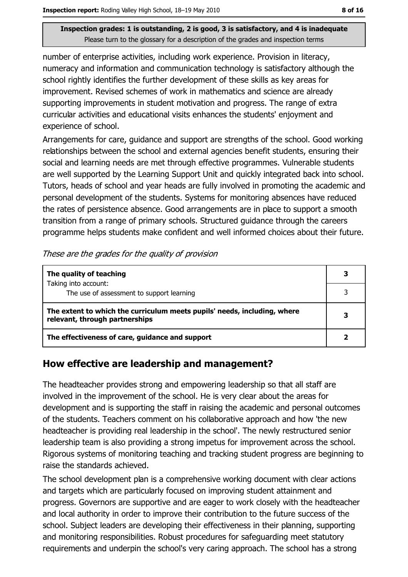number of enterprise activities, including work experience. Provision in literacy, numeracy and information and communication technology is satisfactory although the school rightly identifies the further development of these skills as key areas for improvement. Revised schemes of work in mathematics and science are already supporting improvements in student motivation and progress. The range of extra curricular activities and educational visits enhances the students' enjoyment and experience of school.

Arrangements for care, quidance and support are strengths of the school. Good working relationships between the school and external agencies benefit students, ensuring their social and learning needs are met through effective programmes. Vulnerable students are well supported by the Learning Support Unit and quickly integrated back into school. Tutors, heads of school and year heads are fully involved in promoting the academic and personal development of the students. Systems for monitoring absences have reduced the rates of persistence absence. Good arrangements are in place to support a smooth transition from a range of primary schools. Structured guidance through the careers programme helps students make confident and well informed choices about their future.

|  | These are the grades for the quality of provision |  |  |
|--|---------------------------------------------------|--|--|
|--|---------------------------------------------------|--|--|

| The quality of teaching                                                                                    |  |
|------------------------------------------------------------------------------------------------------------|--|
| Taking into account:<br>The use of assessment to support learning                                          |  |
| The extent to which the curriculum meets pupils' needs, including, where<br>relevant, through partnerships |  |
| The effectiveness of care, guidance and support                                                            |  |

#### How effective are leadership and management?

The headteacher provides strong and empowering leadership so that all staff are involved in the improvement of the school. He is very clear about the areas for development and is supporting the staff in raising the academic and personal outcomes of the students. Teachers comment on his collaborative approach and how 'the new headteacher is providing real leadership in the school'. The newly restructured senior leadership team is also providing a strong impetus for improvement across the school. Rigorous systems of monitoring teaching and tracking student progress are beginning to raise the standards achieved.

The school development plan is a comprehensive working document with clear actions and targets which are particularly focused on improving student attainment and progress. Governors are supportive and are eager to work closely with the headteacher and local authority in order to improve their contribution to the future success of the school. Subject leaders are developing their effectiveness in their planning, supporting and monitoring responsibilities. Robust procedures for safeguarding meet statutory requirements and underpin the school's very caring approach. The school has a strong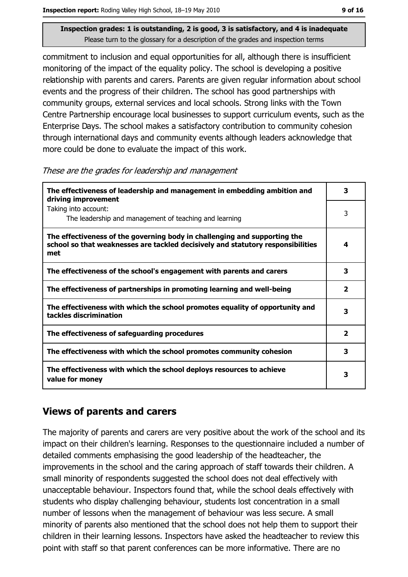commitment to inclusion and equal opportunities for all, although there is insufficient monitoring of the impact of the equality policy. The school is developing a positive relationship with parents and carers. Parents are given regular information about school events and the progress of their children. The school has good partnerships with community groups, external services and local schools. Strong links with the Town Centre Partnership encourage local businesses to support curriculum events, such as the Enterprise Days. The school makes a satisfactory contribution to community cohesion through international days and community events although leaders acknowledge that more could be done to evaluate the impact of this work.

These are the grades for leadership and management

| The effectiveness of leadership and management in embedding ambition and<br>driving improvement                                                                     | 3                       |
|---------------------------------------------------------------------------------------------------------------------------------------------------------------------|-------------------------|
| Taking into account:<br>The leadership and management of teaching and learning                                                                                      | 3                       |
| The effectiveness of the governing body in challenging and supporting the<br>school so that weaknesses are tackled decisively and statutory responsibilities<br>met | 4                       |
| The effectiveness of the school's engagement with parents and carers                                                                                                | 3                       |
| The effectiveness of partnerships in promoting learning and well-being                                                                                              | $\overline{\mathbf{2}}$ |
| The effectiveness with which the school promotes equality of opportunity and<br>tackles discrimination                                                              | 3                       |
| The effectiveness of safeguarding procedures                                                                                                                        | $\overline{\mathbf{2}}$ |
| The effectiveness with which the school promotes community cohesion                                                                                                 | 3                       |
| The effectiveness with which the school deploys resources to achieve<br>value for money                                                                             | 3                       |

#### **Views of parents and carers**

The majority of parents and carers are very positive about the work of the school and its impact on their children's learning. Responses to the questionnaire included a number of detailed comments emphasising the good leadership of the headteacher, the improvements in the school and the caring approach of staff towards their children. A small minority of respondents suggested the school does not deal effectively with unacceptable behaviour. Inspectors found that, while the school deals effectively with students who display challenging behaviour, students lost concentration in a small number of lessons when the management of behaviour was less secure. A small minority of parents also mentioned that the school does not help them to support their children in their learning lessons. Inspectors have asked the headteacher to review this point with staff so that parent conferences can be more informative. There are no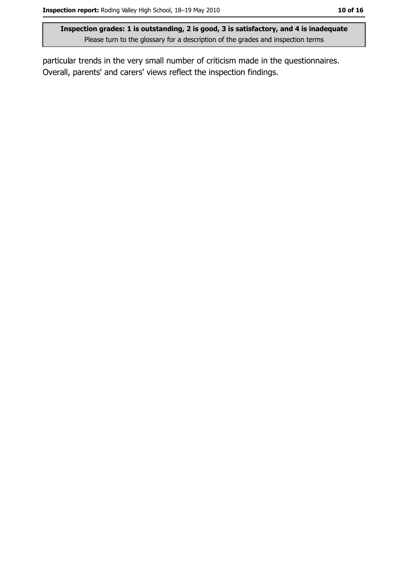particular trends in the very small number of criticism made in the questionnaires. Overall, parents' and carers' views reflect the inspection findings.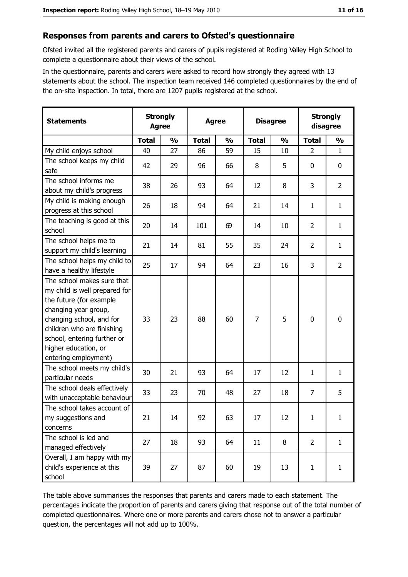#### Responses from parents and carers to Ofsted's questionnaire

Ofsted invited all the registered parents and carers of pupils registered at Roding Valley High School to complete a questionnaire about their views of the school.

In the questionnaire, parents and carers were asked to record how strongly they agreed with 13 statements about the school. The inspection team received 146 completed questionnaires by the end of the on-site inspection. In total, there are 1207 pupils registered at the school.

| <b>Statements</b>                                                                                                                                                                                                                                       | <b>Strongly</b><br><b>Agree</b> |               | <b>Agree</b> |               | <b>Disagree</b> |               | <b>Strongly</b><br>disagree |                |
|---------------------------------------------------------------------------------------------------------------------------------------------------------------------------------------------------------------------------------------------------------|---------------------------------|---------------|--------------|---------------|-----------------|---------------|-----------------------------|----------------|
|                                                                                                                                                                                                                                                         | <b>Total</b>                    | $\frac{0}{0}$ | <b>Total</b> | $\frac{0}{0}$ | <b>Total</b>    | $\frac{0}{0}$ | <b>Total</b>                | $\frac{0}{0}$  |
| My child enjoys school                                                                                                                                                                                                                                  | 40                              | 27            | 86           | 59            | 15              | 10            | $\overline{2}$              | $\mathbf{1}$   |
| The school keeps my child<br>safe                                                                                                                                                                                                                       | 42                              | 29            | 96           | 66            | 8               | 5             | 0                           | $\mathbf 0$    |
| The school informs me<br>about my child's progress                                                                                                                                                                                                      | 38                              | 26            | 93           | 64            | 12              | 8             | 3                           | $\overline{2}$ |
| My child is making enough<br>progress at this school                                                                                                                                                                                                    | 26                              | 18            | 94           | 64            | 21              | 14            | $\mathbf{1}$                | $\mathbf{1}$   |
| The teaching is good at this<br>school                                                                                                                                                                                                                  | 20                              | 14            | 101          | 69            | 14              | 10            | $\overline{2}$              | $\mathbf{1}$   |
| The school helps me to<br>support my child's learning                                                                                                                                                                                                   | 21                              | 14            | 81           | 55            | 35              | 24            | $\overline{2}$              | $\mathbf{1}$   |
| The school helps my child to<br>have a healthy lifestyle                                                                                                                                                                                                | 25                              | 17            | 94           | 64            | 23              | 16            | 3                           | $\overline{2}$ |
| The school makes sure that<br>my child is well prepared for<br>the future (for example<br>changing year group,<br>changing school, and for<br>children who are finishing<br>school, entering further or<br>higher education, or<br>entering employment) | 33                              | 23            | 88           | 60            | $\overline{7}$  | 5             | 0                           | $\mathbf 0$    |
| The school meets my child's<br>particular needs                                                                                                                                                                                                         | 30                              | 21            | 93           | 64            | 17              | 12            | 1                           | $\mathbf{1}$   |
| The school deals effectively<br>with unacceptable behaviour                                                                                                                                                                                             | 33                              | 23            | 70           | 48            | 27              | 18            | $\overline{7}$              | 5              |
| The school takes account of<br>my suggestions and<br>concerns                                                                                                                                                                                           | 21                              | 14            | 92           | 63            | 17              | 12            | $\mathbf{1}$                | $\mathbf{1}$   |
| The school is led and<br>managed effectively                                                                                                                                                                                                            | 27                              | 18            | 93           | 64            | 11              | 8             | $\overline{2}$              | $\mathbf{1}$   |
| Overall, I am happy with my<br>child's experience at this<br>school                                                                                                                                                                                     | 39                              | 27            | 87           | 60            | 19              | 13            | 1                           | $\mathbf{1}$   |

The table above summarises the responses that parents and carers made to each statement. The percentages indicate the proportion of parents and carers giving that response out of the total number of completed questionnaires. Where one or more parents and carers chose not to answer a particular question, the percentages will not add up to 100%.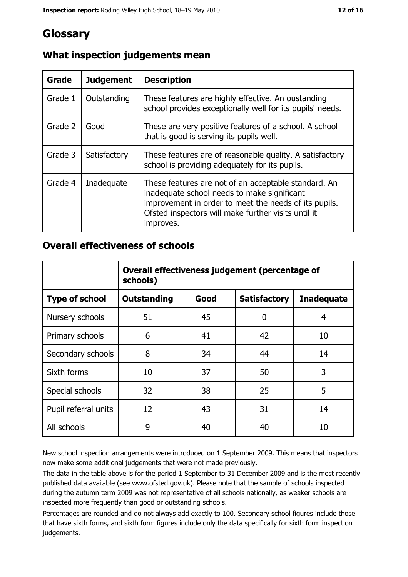## **Glossary**

| Grade   | <b>Judgement</b> | <b>Description</b>                                                                                                                                                                                                               |
|---------|------------------|----------------------------------------------------------------------------------------------------------------------------------------------------------------------------------------------------------------------------------|
| Grade 1 | Outstanding      | These features are highly effective. An oustanding<br>school provides exceptionally well for its pupils' needs.                                                                                                                  |
| Grade 2 | Good             | These are very positive features of a school. A school<br>that is good is serving its pupils well.                                                                                                                               |
| Grade 3 | Satisfactory     | These features are of reasonable quality. A satisfactory<br>school is providing adequately for its pupils.                                                                                                                       |
| Grade 4 | Inadequate       | These features are not of an acceptable standard. An<br>inadequate school needs to make significant<br>improvement in order to meet the needs of its pupils.<br>Ofsted inspectors will make further visits until it<br>improves. |

## What inspection judgements mean

#### **Overall effectiveness of schools**

|                       | Overall effectiveness judgement (percentage of<br>schools) |      |                     |                   |
|-----------------------|------------------------------------------------------------|------|---------------------|-------------------|
| <b>Type of school</b> | <b>Outstanding</b>                                         | Good | <b>Satisfactory</b> | <b>Inadequate</b> |
| Nursery schools       | 51                                                         | 45   | 0                   | 4                 |
| Primary schools       | 6                                                          | 41   | 42                  | 10                |
| Secondary schools     | 8                                                          | 34   | 44                  | 14                |
| Sixth forms           | 10                                                         | 37   | 50                  | 3                 |
| Special schools       | 32                                                         | 38   | 25                  | 5                 |
| Pupil referral units  | 12                                                         | 43   | 31                  | 14                |
| All schools           | 9                                                          | 40   | 40                  | 10                |

New school inspection arrangements were introduced on 1 September 2009. This means that inspectors now make some additional judgements that were not made previously.

The data in the table above is for the period 1 September to 31 December 2009 and is the most recently published data available (see www.ofsted.gov.uk). Please note that the sample of schools inspected during the autumn term 2009 was not representative of all schools nationally, as weaker schools are inspected more frequently than good or outstanding schools.

Percentages are rounded and do not always add exactly to 100. Secondary school figures include those that have sixth forms, and sixth form figures include only the data specifically for sixth form inspection judgements.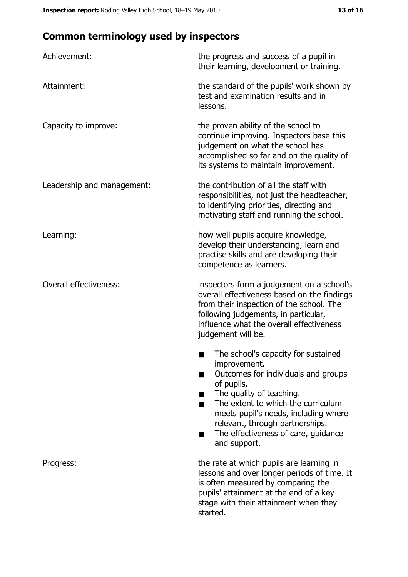## **Common terminology used by inspectors**

| Achievement:                  | the progress and success of a pupil in<br>their learning, development or training.                                                                                                                                                                                                                           |
|-------------------------------|--------------------------------------------------------------------------------------------------------------------------------------------------------------------------------------------------------------------------------------------------------------------------------------------------------------|
| Attainment:                   | the standard of the pupils' work shown by<br>test and examination results and in<br>lessons.                                                                                                                                                                                                                 |
| Capacity to improve:          | the proven ability of the school to<br>continue improving. Inspectors base this<br>judgement on what the school has<br>accomplished so far and on the quality of<br>its systems to maintain improvement.                                                                                                     |
| Leadership and management:    | the contribution of all the staff with<br>responsibilities, not just the headteacher,<br>to identifying priorities, directing and<br>motivating staff and running the school.                                                                                                                                |
| Learning:                     | how well pupils acquire knowledge,<br>develop their understanding, learn and<br>practise skills and are developing their<br>competence as learners.                                                                                                                                                          |
| <b>Overall effectiveness:</b> | inspectors form a judgement on a school's<br>overall effectiveness based on the findings<br>from their inspection of the school. The<br>following judgements, in particular,<br>influence what the overall effectiveness<br>judgement will be.                                                               |
|                               | The school's capacity for sustained<br>improvement.<br>Outcomes for individuals and groups<br>of pupils.<br>The quality of teaching.<br>The extent to which the curriculum<br>meets pupil's needs, including where<br>relevant, through partnerships.<br>The effectiveness of care, guidance<br>and support. |
| Progress:                     | the rate at which pupils are learning in<br>lessons and over longer periods of time. It<br>is often measured by comparing the<br>pupils' attainment at the end of a key<br>stage with their attainment when they<br>started.                                                                                 |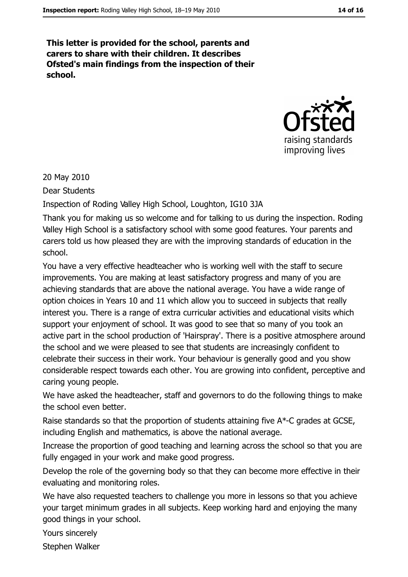This letter is provided for the school, parents and carers to share with their children. It describes Ofsted's main findings from the inspection of their school.



20 May 2010

Dear Students

Inspection of Roding Valley High School, Loughton, IG10 3JA

Thank you for making us so welcome and for talking to us during the inspection. Roding Valley High School is a satisfactory school with some good features. Your parents and carers told us how pleased they are with the improving standards of education in the school

You have a very effective headteacher who is working well with the staff to secure improvements. You are making at least satisfactory progress and many of you are achieving standards that are above the national average. You have a wide range of option choices in Years 10 and 11 which allow you to succeed in subjects that really interest you. There is a range of extra curricular activities and educational visits which support your enjoyment of school. It was good to see that so many of you took an active part in the school production of 'Hairspray'. There is a positive atmosphere around the school and we were pleased to see that students are increasingly confident to celebrate their success in their work. Your behaviour is generally good and you show considerable respect towards each other. You are growing into confident, perceptive and caring young people.

We have asked the headteacher, staff and governors to do the following things to make the school even better.

Raise standards so that the proportion of students attaining five A\*-C grades at GCSE, including English and mathematics, is above the national average.

Increase the proportion of good teaching and learning across the school so that you are fully engaged in your work and make good progress.

Develop the role of the governing body so that they can become more effective in their evaluating and monitoring roles.

We have also requested teachers to challenge you more in lessons so that you achieve your target minimum grades in all subjects. Keep working hard and enjoying the many good things in your school.

Yours sincerely

Stephen Walker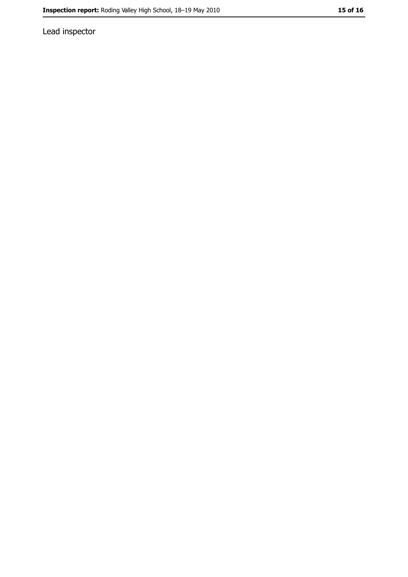Lead inspector